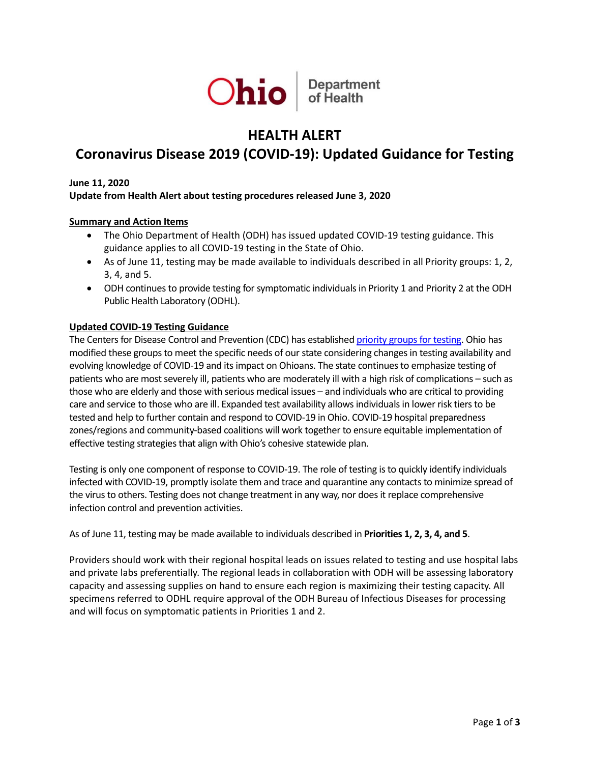

# **HEALTH ALERT**

# **Coronavirus Disease 2019 (COVID-19): Updated Guidance for Testing**

#### **June 11, 2020**

# **Update from Health Alert about testing procedures released June 3, 2020**

#### **Summary and Action Items**

- The Ohio Department of Health (ODH) has issued updated COVID-19 testing guidance. This guidance applies to all COVID-19 testing in the State of Ohio.
- As of June 11, testing may be made available to individuals described in all Priority groups: 1, 2, 3, 4, and 5.
- ODH continues to provide testing for symptomatic individuals in Priority 1 and Priority 2 at the ODH Public Health Laboratory (ODHL).

#### **Updated COVID-19 Testing Guidance**

The Centers for Disease Control and Prevention (CDC) has establishe[d priority groups for testing.](https://www.cdc.gov/coronavirus/2019-ncov/hcp/clinical-criteria.html) Ohio has modified these groups to meet the specific needs of our state considering changes in testing availability and evolving knowledge of COVID-19 and its impact on Ohioans. The state continues to emphasize testing of patients who are most severely ill, patients who are moderately ill with a high risk of complications – such as those who are elderly and those with serious medical issues – and individuals who are critical to providing care and service to those who are ill. Expanded test availability allows individuals in lower risk tiers to be tested and help to further contain and respond to COVID-19 in Ohio. COVID-19 hospital preparedness zones/regions and community-based coalitions will work together to ensure equitable implementation of effective testing strategies that align with Ohio's cohesive statewide plan.

Testing is only one component of response to COVID-19. The role of testing is to quickly identify individuals infected with COVID-19, promptly isolate them and trace and quarantine any contacts to minimize spread of the virus to others. Testing does not change treatment in any way, nor does it replace comprehensive infection control and prevention activities.

As of June 11, testing may be made available to individuals described in **Priorities 1, 2, 3, 4, and 5**.

Providers should work with their regional hospital leads on issues related to testing and use hospital labs and private labs preferentially. The regional leads in collaboration with ODH will be assessing laboratory capacity and assessing supplies on hand to ensure each region is maximizing their testing capacity. All specimens referred to ODHL require approval of the ODH Bureau of Infectious Diseases for processing and will focus on symptomatic patients in Priorities 1 and 2.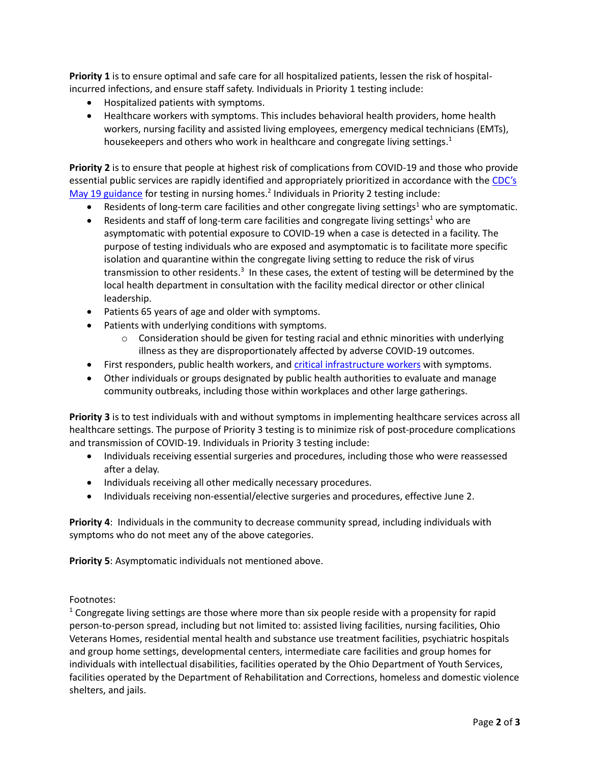**Priority 1** is to ensure optimal and safe care for all hospitalized patients, lessen the risk of hospitalincurred infections, and ensure staff safety. Individuals in Priority 1 testing include:

- Hospitalized patients with symptoms.
- Healthcare workers with symptoms. This includes behavioral health providers, home health workers, nursing facility and assisted living employees, emergency medical technicians (EMTs), housekeepers and others who work in healthcare and congregate living settings.<sup>1</sup>

**Priority 2** is to ensure that people at highest risk of complications from COVID-19 and those who provide essential public services are rapidly identified and appropriately prioritized in accordance with th[e CDC's](https://www.cdc.gov/coronavirus/2019-ncov/hcp/nursing-homes-testing.html)  [May 19 guidance](https://www.cdc.gov/coronavirus/2019-ncov/hcp/nursing-homes-testing.html) for testing in nursing homes.<sup>2</sup> Individuals in Priority 2 testing include:

- Residents of long-term care facilities and other congregate living settings<sup>1</sup> who are symptomatic.
- Residents and staff of long-term care facilities and congregate living settings<sup>1</sup> who are asymptomatic with potential exposure to COVID-19 when a case is detected in a facility. The purpose of testing individuals who are exposed and asymptomatic is to facilitate more specific isolation and quarantine within the congregate living setting to reduce the risk of virus transmission to other residents.<sup>3</sup> In these cases, the extent of testing will be determined by the local health department in consultation with the facility medical director or other clinical leadership.
- Patients 65 years of age and older with symptoms.
- Patients with underlying conditions with symptoms.
	- $\circ$  Consideration should be given for testing racial and ethnic minorities with underlying illness as they are disproportionately affected by adverse COVID-19 outcomes.
- First responders, public health workers, an[d critical infrastructure workers](https://www.cdc.gov/coronavirus/2019-ncov/community/critical-workers/implementing-safety-practices.html) with symptoms.
- Other individuals or groups designated by public health authorities to evaluate and manage community outbreaks, including those within workplaces and other large gatherings.

**Priority 3** is to test individuals with and without symptoms in implementing healthcare services across all healthcare settings. The purpose of Priority 3 testing is to minimize risk of post-procedure complications and transmission of COVID-19. Individuals in Priority 3 testing include:

- Individuals receiving essential surgeries and procedures, including those who were reassessed after a delay.
- Individuals receiving all other medically necessary procedures.
- Individuals receiving non-essential/elective surgeries and procedures, effective June 2.

**Priority 4**: Individuals in the community to decrease community spread, including individuals with symptoms who do not meet any of the above categories.

**Priority 5**: Asymptomatic individuals not mentioned above.

# Footnotes:

 $1$  Congregate living settings are those where more than six people reside with a propensity for rapid person-to-person spread, including but not limited to: assisted living facilities, nursing facilities, Ohio Veterans Homes, residential mental health and substance use treatment facilities, psychiatric hospitals and group home settings, developmental centers, intermediate care facilities and group homes for individuals with intellectual disabilities, facilities operated by the Ohio Department of Youth Services, facilities operated by the Department of Rehabilitation and Corrections, homeless and domestic violence shelters, and jails.